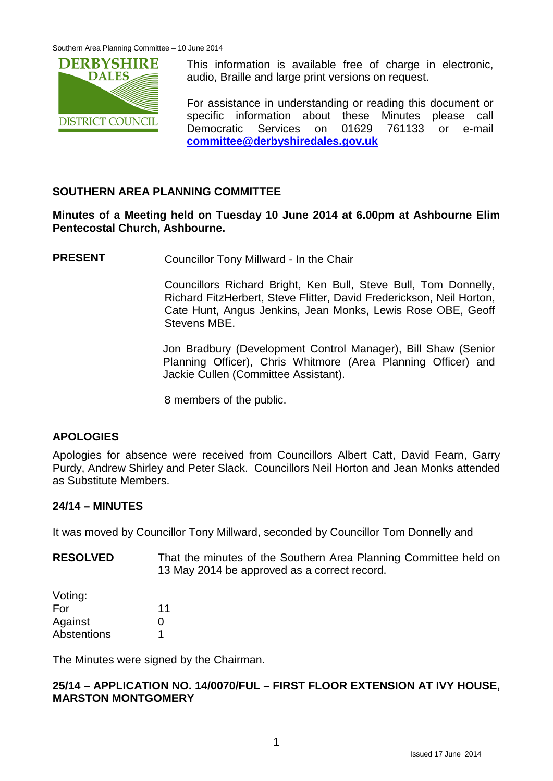

This information is available free of charge in electronic, audio, Braille and large print versions on request.

For assistance in understanding or reading this document or specific information about these Minutes please call Democratic Services on 01629 761133 or e-mail **[committee@derbyshiredales.gov.uk](mailto:committee@derbyshiredales.gov.uk)**

## **SOUTHERN AREA PLANNING COMMITTEE**

**Minutes of a Meeting held on Tuesday 10 June 2014 at 6.00pm at Ashbourne Elim Pentecostal Church, Ashbourne.**

**PRESENT** Councillor Tony Millward - In the Chair

Councillors Richard Bright, Ken Bull, Steve Bull, Tom Donnelly, Richard FitzHerbert, Steve Flitter, David Frederickson, Neil Horton, Cate Hunt, Angus Jenkins, Jean Monks, Lewis Rose OBE, Geoff Stevens MBE.

Jon Bradbury (Development Control Manager), Bill Shaw (Senior Planning Officer), Chris Whitmore (Area Planning Officer) and Jackie Cullen (Committee Assistant).

8 members of the public.

## **APOLOGIES**

Apologies for absence were received from Councillors Albert Catt, David Fearn, Garry Purdy, Andrew Shirley and Peter Slack. Councillors Neil Horton and Jean Monks attended as Substitute Members.

#### **24/14 – MINUTES**

It was moved by Councillor Tony Millward, seconded by Councillor Tom Donnelly and

**RESOLVED** That the minutes of the Southern Area Planning Committee held on 13 May 2014 be approved as a correct record.

| Voting:     |    |
|-------------|----|
| For         | 11 |
| Against     | O  |
| Abstentions | 1  |

The Minutes were signed by the Chairman.

#### **25/14 – APPLICATION NO. 14/0070/FUL – FIRST FLOOR EXTENSION AT IVY HOUSE, MARSTON MONTGOMERY**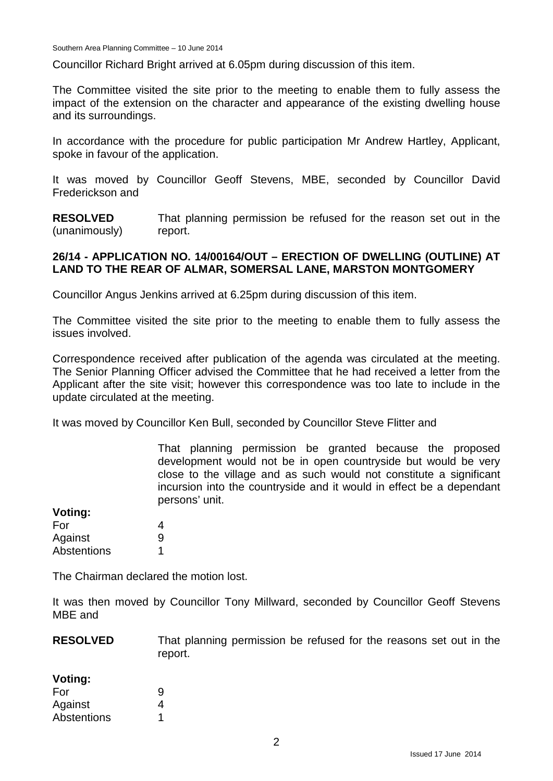Councillor Richard Bright arrived at 6.05pm during discussion of this item.

The Committee visited the site prior to the meeting to enable them to fully assess the impact of the extension on the character and appearance of the existing dwelling house and its surroundings.

In accordance with the procedure for public participation Mr Andrew Hartley, Applicant, spoke in favour of the application.

It was moved by Councillor Geoff Stevens, MBE, seconded by Councillor David Frederickson and

**RESOLVED** (unanimously) That planning permission be refused for the reason set out in the report.

#### **26/14 - APPLICATION NO. 14/00164/OUT – ERECTION OF DWELLING (OUTLINE) AT LAND TO THE REAR OF ALMAR, SOMERSAL LANE, MARSTON MONTGOMERY**

Councillor Angus Jenkins arrived at 6.25pm during discussion of this item.

The Committee visited the site prior to the meeting to enable them to fully assess the issues involved.

Correspondence received after publication of the agenda was circulated at the meeting. The Senior Planning Officer advised the Committee that he had received a letter from the Applicant after the site visit; however this correspondence was too late to include in the update circulated at the meeting.

It was moved by Councillor Ken Bull, seconded by Councillor Steve Flitter and

That planning permission be granted because the proposed development would not be in open countryside but would be very close to the village and as such would not constitute a significant incursion into the countryside and it would in effect be a dependant persons' unit.

| VUIIIY.     |   |
|-------------|---|
| For         | 4 |
| Against     | 9 |
| Abstentions |   |

**Voting:**

The Chairman declared the motion lost.

It was then moved by Councillor Tony Millward, seconded by Councillor Geoff Stevens MBE and

**RESOLVED** That planning permission be refused for the reasons set out in the report.

| Voting:     |   |
|-------------|---|
| For         | 9 |
| Against     | 4 |
| Abstentions |   |